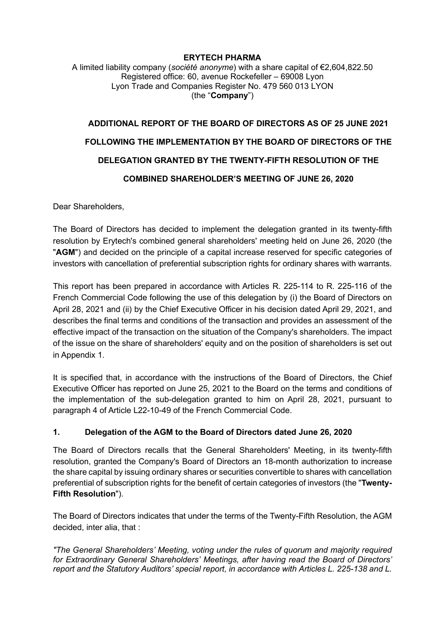#### **ERYTECH PHARMA** A limited liability company (*société anonyme*) with a share capital of €2,604,822.50 Registered office: 60, avenue Rockefeller – 69008 Lyon Lyon Trade and Companies Register No. 479 560 013 LYON (the "**Company**")

# **ADDITIONAL REPORT OF THE BOARD OF DIRECTORS AS OF 25 JUNE 2021 FOLLOWING THE IMPLEMENTATION BY THE BOARD OF DIRECTORS OF THE DELEGATION GRANTED BY THE TWENTY-FIFTH RESOLUTION OF THE COMBINED SHAREHOLDER'S MEETING OF JUNE 26, 2020**

Dear Shareholders,

The Board of Directors has decided to implement the delegation granted in its twenty-fifth resolution by Erytech's combined general shareholders' meeting held on June 26, 2020 (the "**AGM**") and decided on the principle of a capital increase reserved for specific categories of investors with cancellation of preferential subscription rights for ordinary shares with warrants.

This report has been prepared in accordance with Articles R. 225-114 to R. 225-116 of the French Commercial Code following the use of this delegation by (i) the Board of Directors on April 28, 2021 and (ii) by the Chief Executive Officer in his decision dated April 29, 2021, and describes the final terms and conditions of the transaction and provides an assessment of the effective impact of the transaction on the situation of the Company's shareholders. The impact of the issue on the share of shareholders' equity and on the position of shareholders is set out in Appendix 1.

It is specified that, in accordance with the instructions of the Board of Directors, the Chief Executive Officer has reported on June 25, 2021 to the Board on the terms and conditions of the implementation of the sub-delegation granted to him on April 28, 2021, pursuant to paragraph 4 of Article L22-10-49 of the French Commercial Code.

### **1. Delegation of the AGM to the Board of Directors dated June 26, 2020**

The Board of Directors recalls that the General Shareholders' Meeting, in its twenty-fifth resolution, granted the Company's Board of Directors an 18-month authorization to increase the share capital by issuing ordinary shares or securities convertible to shares with cancellation preferential of subscription rights for the benefit of certain categories of investors (the "**Twenty-Fifth Resolution**").

The Board of Directors indicates that under the terms of the Twenty-Fifth Resolution, the AGM decided, inter alia, that :

*"The General Shareholders' Meeting, voting under the rules of quorum and majority required for Extraordinary General Shareholders' Meetings, after having read the Board of Directors' report and the Statutory Auditors' special report, in accordance with Articles L. 225-138 and L.*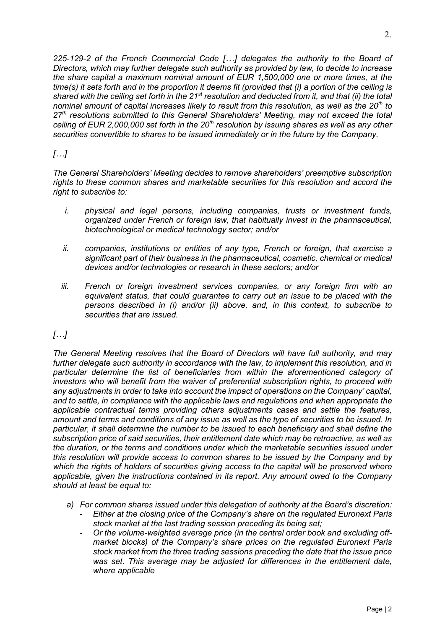*225-129-2 of the French Commercial Code […] delegates the authority to the Board of Directors, which may further delegate such authority as provided by law, to decide to increase the share capital a maximum nominal amount of EUR 1,500,000 one or more times, at the time(s) it sets forth and in the proportion it deems fit (provided that (i) a portion of the ceiling is shared with the ceiling set forth in the 21st resolution and deducted from it, and that (ii) the total nominal amount of capital increases likely to result from this resolution, as well as the 20th to 27th resolutions submitted to this General Shareholders' Meeting, may not exceed the total ceiling of EUR 2,000,000 set forth in the 20th resolution by issuing shares as well as any other securities convertible to shares to be issued immediately or in the future by the Company.*

## *[…]*

*The General Shareholders' Meeting decides to remove shareholders' preemptive subscription rights to these common shares and marketable securities for this resolution and accord the right to subscribe to:*

- *i. physical and legal persons, including companies, trusts or investment funds, organized under French or foreign law, that habitually invest in the pharmaceutical, biotechnological or medical technology sector; and/or*
- *ii. companies, institutions or entities of any type, French or foreign, that exercise a significant part of their business in the pharmaceutical, cosmetic, chemical or medical devices and/or technologies or research in these sectors; and/or*
- *iii. French or foreign investment services companies, or any foreign firm with an equivalent status, that could guarantee to carry out an issue to be placed with the persons described in (i) and/or (ii) above, and, in this context, to subscribe to securities that are issued.*

## *[…]*

*The General Meeting resolves that the Board of Directors will have full authority, and may*  further delegate such authority in accordance with the law, to implement this resolution, and in *particular determine the list of beneficiaries from within the aforementioned category of investors who will benefit from the waiver of preferential subscription rights, to proceed with any adjustments in order to take into account the impact of operations on the Company' capital, and to settle, in compliance with the applicable laws and regulations and when appropriate the applicable contractual terms providing others adjustments cases and settle the features, amount and terms and conditions of any issue as well as the type of securities to be issued. In particular, it shall determine the number to be issued to each beneficiary and shall define the subscription price of said securities, their entitlement date which may be retroactive, as well as the duration, or the terms and conditions under which the marketable securities issued under this resolution will provide access to common shares to be issued by the Company and by which the rights of holders of securities giving access to the capital will be preserved where applicable, given the instructions contained in its report. Any amount owed to the Company should at least be equal to:*

- *a) For common shares issued under this delegation of authority at the Board's discretion:*
	- *Either at the closing price of the Company's share on the regulated Euronext Paris stock market at the last trading session preceding its being set;*
	- *Or the volume-weighted average price (in the central order book and excluding offmarket blocks) of the Company's share prices on the regulated Euronext Paris stock market from the three trading sessions preceding the date that the issue price*  was set. This average may be adjusted for differences in the entitlement date, *where applicable*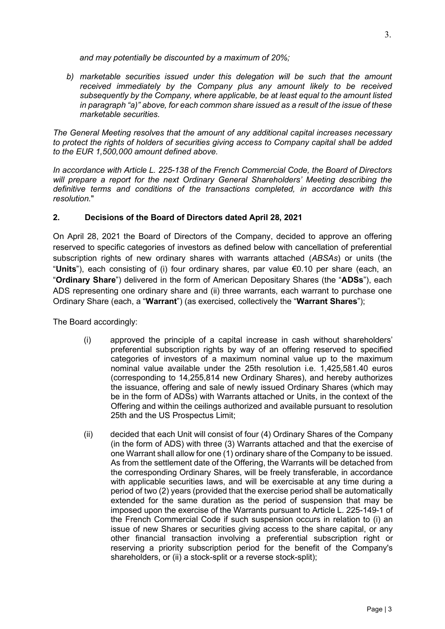*and may potentially be discounted by a maximum of 20%;* 

*b) marketable securities issued under this delegation will be such that the amount received immediately by the Company plus any amount likely to be received subsequently by the Company, where applicable, be at least equal to the amount listed in paragraph "a)" above, for each common share issued as a result of the issue of these marketable securities.*

*The General Meeting resolves that the amount of any additional capital increases necessary to protect the rights of holders of securities giving access to Company capital shall be added to the EUR 1,500,000 amount defined above.*

*In accordance with Article L. 225-138 of the French Commercial Code, the Board of Directors will prepare a report for the next Ordinary General Shareholders' Meeting describing the definitive terms and conditions of the transactions completed, in accordance with this resolution.*"

#### **2. Decisions of the Board of Directors dated April 28, 2021**

On April 28, 2021 the Board of Directors of the Company, decided to approve an offering reserved to specific categories of investors as defined below with cancellation of preferential subscription rights of new ordinary shares with warrants attached (*ABSAs*) or units (the "**Units**"), each consisting of (i) four ordinary shares, par value €0.10 per share (each, an "**Ordinary Share**") delivered in the form of American Depositary Shares (the "**ADSs**"), each ADS representing one ordinary share and (ii) three warrants, each warrant to purchase one Ordinary Share (each, a "**Warrant**") (as exercised, collectively the "**Warrant Shares**");

The Board accordingly:

- (i) approved the principle of a capital increase in cash without shareholders' preferential subscription rights by way of an offering reserved to specified categories of investors of a maximum nominal value up to the maximum nominal value available under the 25th resolution i.e. 1,425,581.40 euros (corresponding to 14,255,814 new Ordinary Shares), and hereby authorizes the issuance, offering and sale of newly issued Ordinary Shares (which may be in the form of ADSs) with Warrants attached or Units, in the context of the Offering and within the ceilings authorized and available pursuant to resolution 25th and the US Prospectus Limit;
- (ii) decided that each Unit will consist of four (4) Ordinary Shares of the Company (in the form of ADS) with three (3) Warrants attached and that the exercise of one Warrant shall allow for one (1) ordinary share of the Company to be issued. As from the settlement date of the Offering, the Warrants will be detached from the corresponding Ordinary Shares, will be freely transferable, in accordance with applicable securities laws, and will be exercisable at any time during a period of two (2) years (provided that the exercise period shall be automatically extended for the same duration as the period of suspension that may be imposed upon the exercise of the Warrants pursuant to Article L. 225-149-1 of the French Commercial Code if such suspension occurs in relation to (i) an issue of new Shares or securities giving access to the share capital, or any other financial transaction involving a preferential subscription right or reserving a priority subscription period for the benefit of the Company's shareholders, or (ii) a stock-split or a reverse stock-split);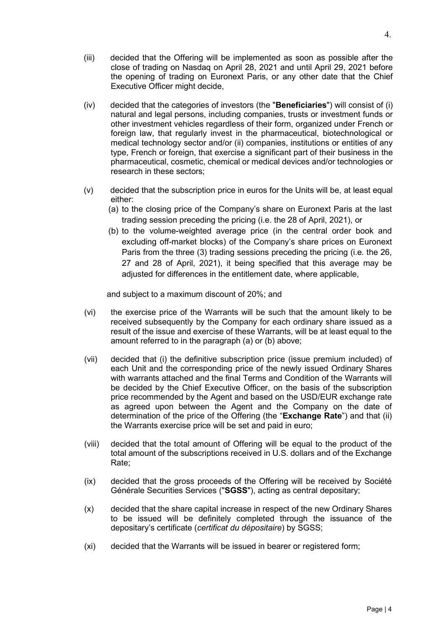- (iii) decided that the Offering will be implemented as soon as possible after the close of trading on Nasdaq on April 28, 2021 and until April 29, 2021 before the opening of trading on Euronext Paris, or any other date that the Chief Executive Officer might decide,
- (iv) decided that the categories of investors (the "**Beneficiaries**") will consist of (i) natural and legal persons, including companies, trusts or investment funds or other investment vehicles regardless of their form, organized under French or foreign law, that regularly invest in the pharmaceutical, biotechnological or medical technology sector and/or (ii) companies, institutions or entities of any type, French or foreign, that exercise a significant part of their business in the pharmaceutical, cosmetic, chemical or medical devices and/or technologies or research in these sectors;
- (v) decided that the subscription price in euros for the Units will be, at least equal either:
	- (a) to the closing price of the Company's share on Euronext Paris at the last trading session preceding the pricing (i.e. the 28 of April, 2021), or
	- (b) to the volume-weighted average price (in the central order book and excluding off-market blocks) of the Company's share prices on Euronext Paris from the three (3) trading sessions preceding the pricing (i.e*.* the 26, 27 and 28 of April, 2021), it being specified that this average may be adjusted for differences in the entitlement date, where applicable,

and subject to a maximum discount of 20%; and

- (vi) the exercise price of the Warrants will be such that the amount likely to be received subsequently by the Company for each ordinary share issued as a result of the issue and exercise of these Warrants, will be at least equal to the amount referred to in the paragraph (a) or (b) above;
- (vii) decided that (i) the definitive subscription price (issue premium included) of each Unit and the corresponding price of the newly issued Ordinary Shares with warrants attached and the final Terms and Condition of the Warrants will be decided by the Chief Executive Officer, on the basis of the subscription price recommended by the Agent and based on the USD/EUR exchange rate as agreed upon between the Agent and the Company on the date of determination of the price of the Offering (the "**Exchange Rate**") and that (ii) the Warrants exercise price will be set and paid in euro;
- (viii) decided that the total amount of Offering will be equal to the product of the total amount of the subscriptions received in U.S. dollars and of the Exchange Rate;
- (ix) decided that the gross proceeds of the Offering will be received by Société Générale Securities Services ("**SGSS**"), acting as central depositary;
- (x) decided that the share capital increase in respect of the new Ordinary Shares to be issued will be definitely completed through the issuance of the depositary's certificate (*certificat du dépositaire*) by SGSS;
- (xi) decided that the Warrants will be issued in bearer or registered form;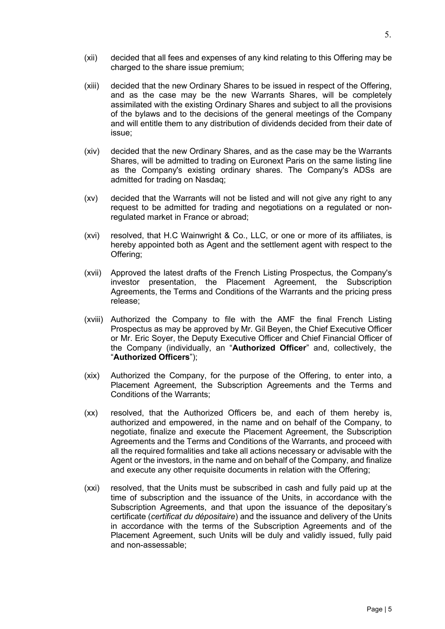- (xii) decided that all fees and expenses of any kind relating to this Offering may be charged to the share issue premium;
- (xiii) decided that the new Ordinary Shares to be issued in respect of the Offering, and as the case may be the new Warrants Shares, will be completely assimilated with the existing Ordinary Shares and subject to all the provisions of the bylaws and to the decisions of the general meetings of the Company and will entitle them to any distribution of dividends decided from their date of issue;
- (xiv) decided that the new Ordinary Shares, and as the case may be the Warrants Shares, will be admitted to trading on Euronext Paris on the same listing line as the Company's existing ordinary shares. The Company's ADSs are admitted for trading on Nasdaq;
- (xv) decided that the Warrants will not be listed and will not give any right to any request to be admitted for trading and negotiations on a regulated or nonregulated market in France or abroad;
- (xvi) resolved, that H.C Wainwright & Co., LLC, or one or more of its affiliates, is hereby appointed both as Agent and the settlement agent with respect to the Offering;
- (xvii) Approved the latest drafts of the French Listing Prospectus, the Company's investor presentation, the Placement Agreement, the Subscription Agreements, the Terms and Conditions of the Warrants and the pricing press release;
- (xviii) Authorized the Company to file with the AMF the final French Listing Prospectus as may be approved by Mr. Gil Beyen, the Chief Executive Officer or Mr. Eric Soyer, the Deputy Executive Officer and Chief Financial Officer of the Company (individually, an "**Authorized Officer**" and, collectively, the "**Authorized Officers**");
- (xix) Authorized the Company, for the purpose of the Offering, to enter into, a Placement Agreement, the Subscription Agreements and the Terms and Conditions of the Warrants;
- (xx) resolved, that the Authorized Officers be, and each of them hereby is, authorized and empowered, in the name and on behalf of the Company, to negotiate, finalize and execute the Placement Agreement, the Subscription Agreements and the Terms and Conditions of the Warrants, and proceed with all the required formalities and take all actions necessary or advisable with the Agent or the investors, in the name and on behalf of the Company, and finalize and execute any other requisite documents in relation with the Offering;
- (xxi) resolved, that the Units must be subscribed in cash and fully paid up at the time of subscription and the issuance of the Units, in accordance with the Subscription Agreements, and that upon the issuance of the depositary's certificate (*certificat du dépositaire*) and the issuance and delivery of the Units in accordance with the terms of the Subscription Agreements and of the Placement Agreement, such Units will be duly and validly issued, fully paid and non-assessable;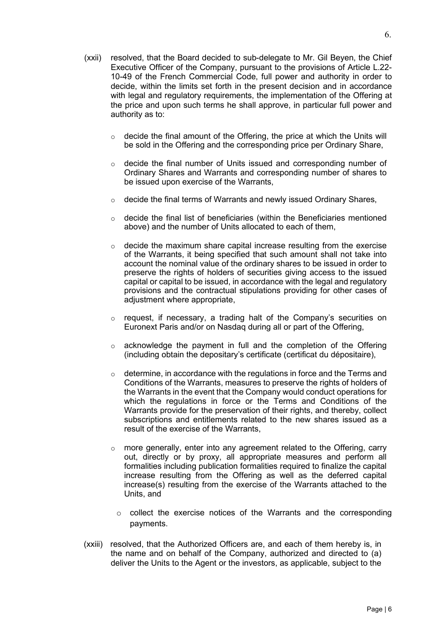- (xxii) resolved, that the Board decided to sub-delegate to Mr. Gil Beyen, the Chief Executive Officer of the Company, pursuant to the provisions of Article L.22- 10-49 of the French Commercial Code, full power and authority in order to decide, within the limits set forth in the present decision and in accordance with legal and regulatory requirements, the implementation of the Offering at the price and upon such terms he shall approve, in particular full power and authority as to:
	- $\circ$  decide the final amount of the Offering, the price at which the Units will be sold in the Offering and the corresponding price per Ordinary Share,
	- $\circ$  decide the final number of Units issued and corresponding number of Ordinary Shares and Warrants and corresponding number of shares to be issued upon exercise of the Warrants,
	- $\circ$  decide the final terms of Warrants and newly issued Ordinary Shares,
	- $\circ$  decide the final list of beneficiaries (within the Beneficiaries mentioned above) and the number of Units allocated to each of them,
	- $\circ$  decide the maximum share capital increase resulting from the exercise of the Warrants, it being specified that such amount shall not take into account the nominal value of the ordinary shares to be issued in order to preserve the rights of holders of securities giving access to the issued capital or capital to be issued, in accordance with the legal and regulatory provisions and the contractual stipulations providing for other cases of adjustment where appropriate,
	- o request, if necessary, a trading halt of the Company's securities on Euronext Paris and/or on Nasdaq during all or part of the Offering,
	- $\circ$  acknowledge the payment in full and the completion of the Offering (including obtain the depositary's certificate (certificat du dépositaire),
	- $\circ$  determine, in accordance with the regulations in force and the Terms and Conditions of the Warrants, measures to preserve the rights of holders of the Warrants in the event that the Company would conduct operations for which the regulations in force or the Terms and Conditions of the Warrants provide for the preservation of their rights, and thereby, collect subscriptions and entitlements related to the new shares issued as a result of the exercise of the Warrants,
	- o more generally, enter into any agreement related to the Offering, carry out, directly or by proxy, all appropriate measures and perform all formalities including publication formalities required to finalize the capital increase resulting from the Offering as well as the deferred capital increase(s) resulting from the exercise of the Warrants attached to the Units, and
		- $\circ$  collect the exercise notices of the Warrants and the corresponding payments.
- (xxiii) resolved, that the Authorized Officers are, and each of them hereby is, in the name and on behalf of the Company, authorized and directed to (a) deliver the Units to the Agent or the investors, as applicable, subject to the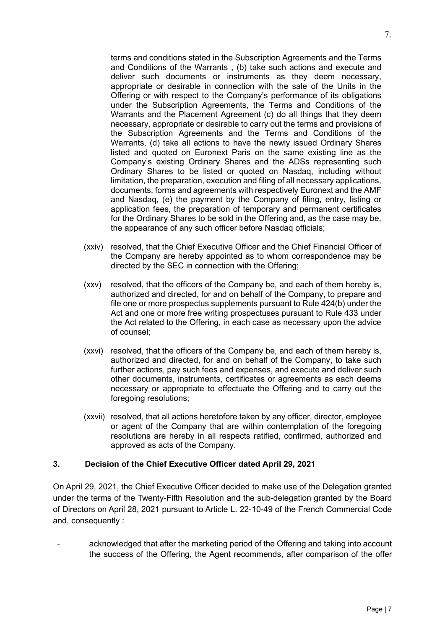terms and conditions stated in the Subscription Agreements and the Terms and Conditions of the Warrants , (b) take such actions and execute and deliver such documents or instruments as they deem necessary, appropriate or desirable in connection with the sale of the Units in the Offering or with respect to the Company's performance of its obligations under the Subscription Agreements, the Terms and Conditions of the Warrants and the Placement Agreement (c) do all things that they deem necessary, appropriate or desirable to carry out the terms and provisions of the Subscription Agreements and the Terms and Conditions of the Warrants, (d) take all actions to have the newly issued Ordinary Shares listed and quoted on Euronext Paris on the same existing line as the Company's existing Ordinary Shares and the ADSs representing such Ordinary Shares to be listed or quoted on Nasdaq, including without limitation, the preparation, execution and filing of all necessary applications, documents, forms and agreements with respectively Euronext and the AMF and Nasdaq, (e) the payment by the Company of filing, entry, listing or application fees, the preparation of temporary and permanent certificates for the Ordinary Shares to be sold in the Offering and, as the case may be, the appearance of any such officer before Nasdaq officials;

- (xxiv) resolved, that the Chief Executive Officer and the Chief Financial Officer of the Company are hereby appointed as to whom correspondence may be directed by the SEC in connection with the Offering;
- (xxv) resolved, that the officers of the Company be, and each of them hereby is, authorized and directed, for and on behalf of the Company, to prepare and file one or more prospectus supplements pursuant to Rule 424(b) under the Act and one or more free writing prospectuses pursuant to Rule 433 under the Act related to the Offering, in each case as necessary upon the advice of counsel;
- (xxvi) resolved, that the officers of the Company be, and each of them hereby is, authorized and directed, for and on behalf of the Company, to take such further actions, pay such fees and expenses, and execute and deliver such other documents, instruments, certificates or agreements as each deems necessary or appropriate to effectuate the Offering and to carry out the foregoing resolutions;
- (xxvii) resolved, that all actions heretofore taken by any officer, director, employee or agent of the Company that are within contemplation of the foregoing resolutions are hereby in all respects ratified, confirmed, authorized and approved as acts of the Company.

#### **3. Decision of the Chief Executive Officer dated April 29, 2021**

On April 29, 2021, the Chief Executive Officer decided to make use of the Delegation granted under the terms of the Twenty-Fifth Resolution and the sub-delegation granted by the Board of Directors on April 28, 2021 pursuant to Article L. 22-10-49 of the French Commercial Code and, consequently :

acknowledged that after the marketing period of the Offering and taking into account the success of the Offering, the Agent recommends, after comparison of the offer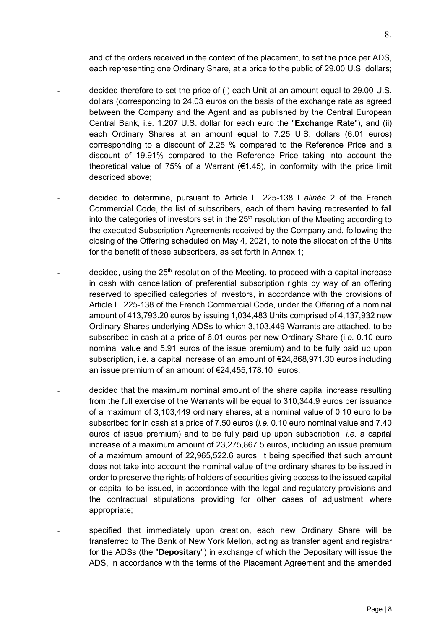and of the orders received in the context of the placement, to set the price per ADS, each representing one Ordinary Share, at a price to the public of 29.00 U.S. dollars;

- decided therefore to set the price of (i) each Unit at an amount equal to 29.00 U.S. dollars (corresponding to 24.03 euros on the basis of the exchange rate as agreed between the Company and the Agent and as published by the Central European Central Bank, i.e. 1.207 U.S. dollar for each euro the "**Exchange Rate**"), and (ii) each Ordinary Shares at an amount equal to 7.25 U.S. dollars (6.01 euros) corresponding to a discount of 2.25 % compared to the Reference Price and a discount of 19.91% compared to the Reference Price taking into account the theoretical value of 75% of a Warrant ( $\epsilon$ 1.45), in conformity with the price limit described above;
- decided to determine, pursuant to Article L. 225-138 I *alinéa* 2 of the French Commercial Code, the list of subscribers, each of them having represented to fall into the categories of investors set in the  $25<sup>th</sup>$  resolution of the Meeting according to the executed Subscription Agreements received by the Company and, following the closing of the Offering scheduled on May 4, 2021, to note the allocation of the Units for the benefit of these subscribers, as set forth in Annex 1;
- decided, using the  $25<sup>th</sup>$  resolution of the Meeting, to proceed with a capital increase in cash with cancellation of preferential subscription rights by way of an offering reserved to specified categories of investors, in accordance with the provisions of Article L. 225-138 of the French Commercial Code, under the Offering of a nominal amount of 413,793.20 euros by issuing 1,034,483 Units comprised of 4,137,932 new Ordinary Shares underlying ADSs to which 3,103,449 Warrants are attached, to be subscribed in cash at a price of 6.01 euros per new Ordinary Share (i*.e.* 0.10 euro nominal value and 5.91 euros of the issue premium) and to be fully paid up upon subscription, i.e. a capital increase of an amount of €24,868,971.30 euros including an issue premium of an amount of €24,455,178.10 euros;
- decided that the maximum nominal amount of the share capital increase resulting from the full exercise of the Warrants will be equal to 310,344.9 euros per issuance of a maximum of 3,103,449 ordinary shares, at a nominal value of 0.10 euro to be subscribed for in cash at a price of 7.50 euros (*i.e.* 0.10 euro nominal value and 7.40 euros of issue premium) and to be fully paid up upon subscription, *i.e.* a capital increase of a maximum amount of 23,275,867.5 euros, including an issue premium of a maximum amount of 22,965,522.6 euros, it being specified that such amount does not take into account the nominal value of the ordinary shares to be issued in order to preserve the rights of holders of securities giving access to the issued capital or capital to be issued, in accordance with the legal and regulatory provisions and the contractual stipulations providing for other cases of adjustment where appropriate;
	- specified that immediately upon creation, each new Ordinary Share will be transferred to The Bank of New York Mellon, acting as transfer agent and registrar for the ADSs (the "**Depositary**") in exchange of which the Depositary will issue the ADS, in accordance with the terms of the Placement Agreement and the amended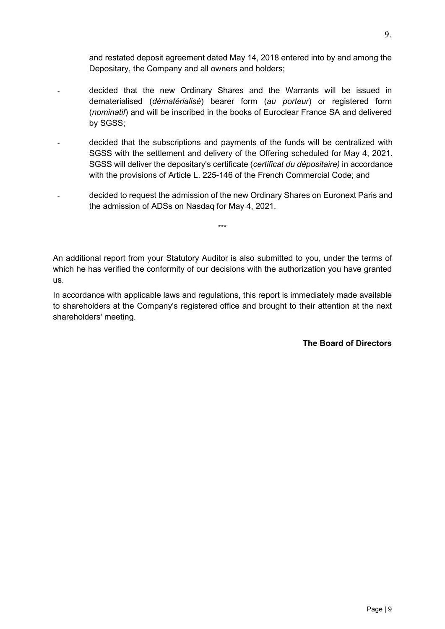and restated deposit agreement dated May 14, 2018 entered into by and among the Depositary, the Company and all owners and holders;

- decided that the new Ordinary Shares and the Warrants will be issued in dematerialised (*dématérialisé*) bearer form (*au porteur*) or registered form (*nominatif*) and will be inscribed in the books of Euroclear France SA and delivered by SGSS;
- decided that the subscriptions and payments of the funds will be centralized with SGSS with the settlement and delivery of the Offering scheduled for May 4, 2021. SGSS will deliver the depositary's certificate (*certificat du dépositaire)* in accordance with the provisions of Article L. 225-146 of the French Commercial Code; and
- decided to request the admission of the new Ordinary Shares on Euronext Paris and the admission of ADSs on Nasdaq for May 4, 2021.

\*\*\*

An additional report from your Statutory Auditor is also submitted to you, under the terms of which he has verified the conformity of our decisions with the authorization you have granted us.

In accordance with applicable laws and regulations, this report is immediately made available to shareholders at the Company's registered office and brought to their attention at the next shareholders' meeting.

**The Board of Directors**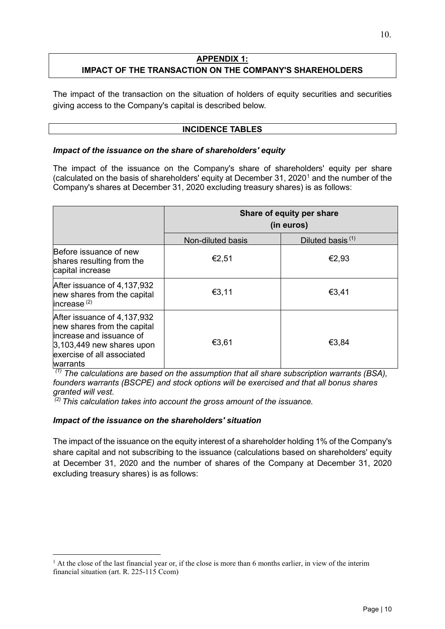#### **APPENDIX 1: IMPACT OF THE TRANSACTION ON THE COMPANY'S SHAREHOLDERS**

The impact of the transaction on the situation of holders of equity securities and securities giving access to the Company's capital is described below.

#### **INCIDENCE TABLES**

#### *Impact of the issuance on the share of shareholders' equity*

The impact of the issuance on the Company's share of shareholders' equity per share (calculated on the basis of shareholders' equity at December 3[1](#page-9-0), 2020<sup>1</sup> and the number of the Company's shares at December 31, 2020 excluding treasury shares) is as follows:

|                                                                                                                                                                 | Share of equity per share<br>(in euros) |                              |
|-----------------------------------------------------------------------------------------------------------------------------------------------------------------|-----------------------------------------|------------------------------|
|                                                                                                                                                                 | Non-diluted basis                       | Diluted basis <sup>(1)</sup> |
| Before issuance of new<br>shares resulting from the<br>capital increase                                                                                         | €2,51                                   | €2,93                        |
| After issuance of 4,137,932<br>new shares from the capital<br>increase <sup>(2)</sup>                                                                           | €3,11                                   | €3,41                        |
| After issuance of 4,137,932<br>new shares from the capital<br>increase and issuance of<br>$3,103,449$ new shares upon<br>exercise of all associated<br>warrants | €3,61                                   | €3,84                        |

*(1) The calculations are based on the assumption that all share subscription warrants (BSA), founders warrants (BSCPE) and stock options will be exercised and that all bonus shares granted will vest.*

*(2) This calculation takes into account the gross amount of the issuance.*

#### *Impact of the issuance on the shareholders' situation*

The impact of the issuance on the equity interest of a shareholder holding 1% of the Company's share capital and not subscribing to the issuance (calculations based on shareholders' equity at December 31, 2020 and the number of shares of the Company at December 31, 2020 excluding treasury shares) is as follows:

<span id="page-9-0"></span> $<sup>1</sup>$  At the close of the last financial year or, if the close is more than 6 months earlier, in view of the interim</sup> financial situation (art. R. 225-115 Ccom)